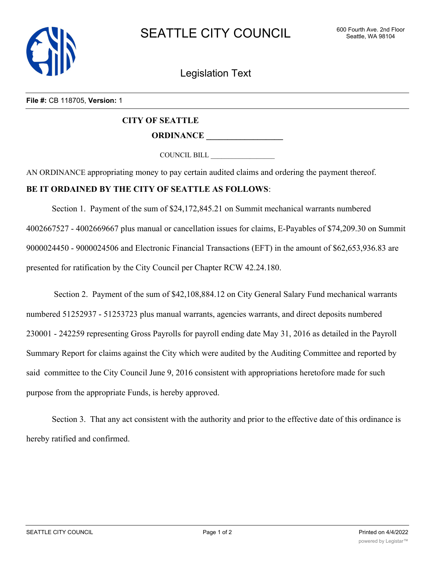

Legislation Text

**File #:** CB 118705, **Version:** 1

## **CITY OF SEATTLE ORDINANCE \_\_\_\_\_\_\_\_\_\_\_\_\_\_\_\_\_\_**

COUNCIL BILL \_\_\_\_\_\_\_\_\_\_\_\_\_\_\_\_\_\_

AN ORDINANCE appropriating money to pay certain audited claims and ordering the payment thereof.

## **BE IT ORDAINED BY THE CITY OF SEATTLE AS FOLLOWS**:

Section 1. Payment of the sum of \$24,172,845.21 on Summit mechanical warrants numbered 4002667527 - 4002669667 plus manual or cancellation issues for claims, E-Payables of \$74,209.30 on Summit 9000024450 - 9000024506 and Electronic Financial Transactions (EFT) in the amount of \$62,653,936.83 are presented for ratification by the City Council per Chapter RCW 42.24.180.

 Section 2. Payment of the sum of \$42,108,884.12 on City General Salary Fund mechanical warrants numbered 51252937 - 51253723 plus manual warrants, agencies warrants, and direct deposits numbered 230001 - 242259 representing Gross Payrolls for payroll ending date May 31, 2016 as detailed in the Payroll Summary Report for claims against the City which were audited by the Auditing Committee and reported by said committee to the City Council June 9, 2016 consistent with appropriations heretofore made for such purpose from the appropriate Funds, is hereby approved.

Section 3. That any act consistent with the authority and prior to the effective date of this ordinance is hereby ratified and confirmed.